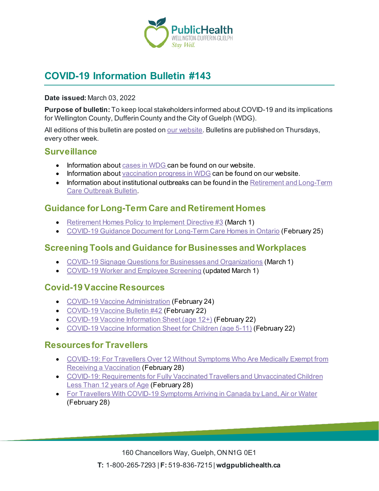

# **COVID-19 Information Bulletin #143**

#### **Date issued:** March 03, 2022

**Purpose of bulletin:** To keep local stakeholders informed about COVID-19 and its implications for Wellington County, Dufferin County and the City of Guelph (WDG).

All editions of this bulletin are posted o[n our website](https://www.wdgpublichealth.ca/your-health/covid-19-information-workplaces-and-living-spaces/community-stakeholder-bulletins). Bulletins are published on Thursdays, every other week.

### **Surveillance**

- Information about [cases in WDG](https://wdgpublichealth.ca/your-health/covid-19-information-public/status-cases-wdg) can be found on our website.
- Information abou[t vaccination progress](https://www.wdgpublichealth.ca/your-health/covid-19-information-public/covid-19-vaccine-information-public) in WDG can be found on our website.
- Information about institutional outbreaks can be found in the Retirement and Long-Term [Care Outbreak Bulletin.](https://wdgpublichealth.ca/node/1542)

### **Guidance for Long-Term Care and Retirement Homes**

- [Retirement Homes Policy to Implement Directive #3](https://www.rhra.ca/wp-content/uploads/2022/03/Retirement-Homes-Policy-to-Implement-Directive-3-2022-March-1-2022-Approved.pdf) (March 1)
- [COVID-19 Guidance Document for Long-Term Care Homes in Ontario](https://www.ontario.ca/page/covid-19-guidance-document-long-term-care-homes-ontario) (February 25)

### **Screening Tools and Guidance for Businesses and Workplaces**

- [COVID-19 Signage Questions for Businesses and Organizations](https://www.health.gov.on.ca/en/pro/programs/publichealth/coronavirus/docs/COVID_19_bus_orgs_question_signage.pdf) (March 1)
- [COVID-19 Worker and Employee Screening](https://covid-19.ontario.ca/screening/worker/) (updated March 1)

### **Covid-19 Vaccine Resources**

- [COVID-19 Vaccine Administration](https://www.health.gov.on.ca/en/pro/programs/publichealth/coronavirus/docs/vaccine/COVID-19_vaccine_administration.pdf) (February 24)
- [COVID-19 Vaccine Bulletin #42](https://wdgpublichealth.ca/sites/default/files/wdgph_covid-19_vaccine_bulletin_42.pdf) (February 22)
- [COVID-19 Vaccine Information Sheet \(age 12+\)](https://www.health.gov.on.ca/en/pro/programs/publichealth/coronavirus/docs/vaccine/COVID-19_vaccine_info_sheet.pdf) (February 22)
- [COVID-19 Vaccine Information Sheet for Children \(age 5-11\)](https://www.health.gov.on.ca/en/pro/programs/publichealth/coronavirus/docs/vaccine/COVID-19_vaccine_info_sheet_kids_5_11.pdf) (February 22)

### **Resources for Travellers**

- [COVID-19: For Travellers Over 12 Without Symptoms Who Are Medically Exempt from](https://www.canada.ca/en/public-health/services/diseases/2019-novel-coronavirus-infection/awareness-resources/travellers-over-12-without-symptoms-medically-exempt-vaccination.html)  [Receiving a Vaccination](https://www.canada.ca/en/public-health/services/diseases/2019-novel-coronavirus-infection/awareness-resources/travellers-over-12-without-symptoms-medically-exempt-vaccination.html) (February 28)
- [COVID-19: Requirements for Fully Vaccinated Travellers and Unvaccinated Children](https://www.canada.ca/en/public-health/services/publications/diseases-conditions/fully-vaccinated-travellers-without-covid-19-symptoms-returning-canada.html)  [Less Than 12 years of Age](https://www.canada.ca/en/public-health/services/publications/diseases-conditions/fully-vaccinated-travellers-without-covid-19-symptoms-returning-canada.html) (February 28)
- [For Travellers With COVID-19 Symptoms Arriving in Canada by Land, Air or Water](https://www.canada.ca/en/public-health/services/publications/diseases-conditions/travellers-with-symptoms-return-canada.html) (February 28)

160 Chancellors Way, Guelph, ON N1G 0E1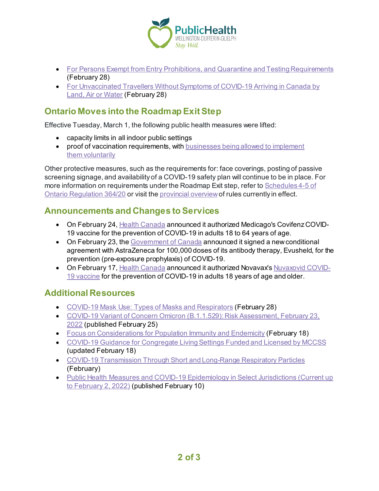

- [For Persons Exempt from Entry Prohibitions, and Quarantine and Testing Requirements](https://www.canada.ca/en/public-health/services/publications/diseases-conditions/covid-19-information-essential-service-workers.html) (February 28)
- [For Unvaccinated Travellers Without Symptoms of COVID-19 Arriving in Canada by](https://www.canada.ca/en/public-health/services/publications/diseases-conditions/2019-novel-coronavirus-information-sheet.html)  [Land, Air or Water](https://www.canada.ca/en/public-health/services/publications/diseases-conditions/2019-novel-coronavirus-information-sheet.html) (February 28)

# **Ontario Moves into the Roadmap Exit Step**

Effective Tuesday, March 1, the following public health measures were lifted:

- capacity limits in all indoor public settings
- proof of vaccination requirements, with businesses being allowed to implement them [voluntarily](https://covid-19.ontario.ca/information-businesses-and-organizations-about-vaccine-certificates)

Other protective measures, such as the requirements for: face coverings, posting of passive screening signage, and availability of a COVID-19 safety plan will continue to be in place. For more information on requirements under the Roadmap Exit step, refer t[o Schedules 4-5 of](https://www.ontario.ca/laws/regulation/200364#BK10) [Ontario Regulation](https://www.ontario.ca/laws/regulation/200364#BK10) 364/20 or visit th[e provincial overview](https://covid-19.ontario.ca/public-health-measures)of rules currently in effect.

## **Announcements and Changes to Services**

- On February 24[, Health Canada](https://www.canada.ca/en/health-canada/news/2022/02/health-canada-authorizes-medicago-covid-19-vaccine-for-adults-18-to-64-years-of-age.html) announced it authorized Medicago's Covifenz COVID-19 vaccine for the prevention of COVID-19 in adults 18 to 64 years of age.
- On February 23, th[e Government of Canada](https://www.canada.ca/en/public-services-procurement/news/2022/02/government-of-canada-signs-new-covid-19-antibody-therapy-agreement.html) announced it signed a new conditional agreement with AstraZeneca for 100,000 doses of its antibody therapy, Evusheld, for the prevention (pre-exposure prophylaxis) of COVID-19.
- On February 17[, Health Canada](https://www.canada.ca/en/health-canada/news/2022/02/health-canada-authorizes-novavaxs-nuvaxovid-covid-19-vaccine.html) announced it authorized Novavax's [Nuvaxovid COVID-](https://www.canada.ca/en/health-canada/services/drugs-health-products/covid19-industry/drugs-vaccines-treatments/vaccines/novavax.html)[19 vaccine](https://www.canada.ca/en/health-canada/services/drugs-health-products/covid19-industry/drugs-vaccines-treatments/vaccines/novavax.html) for the prevention of COVID-19 in adults 18 years of age and older.

## **Additional Resources**

- [COVID-19 Mask Use: Types of Masks and Respirators](https://www.canada.ca/en/public-health/services/publications/diseases-conditions/types-masks-respirators.html) (February 28)
- COVID-19 Variant of Concern Omicron (B.1.1.529): Risk Assessment, February 23, [2022](https://www.publichealthontario.ca/-/media/Documents/nCoV/voc/covid-19-omicron-b11529-risk-assessment.pdf?sc_lang=en) (published February 25)
- [Focus on Considerations for Population Immunity and Endemicity](https://www.publichealthontario.ca/-/media/Documents/nCoV/Vaccines/2022/02/considerations-population-immunity-endemicity.pdf?sc_lang=en) (February 18)
- [COVID-19 Guidance for Congregate Living Settings Funded and](https://www.ontario.ca/page/covid-19-guidance-congregate-living-settings-funded-and-licensed-ministry-children-community) Licensed by MCCSS (updated February 18)
- [COVID-19 Transmission Through Short and Long-Range Respiratory Particles](https://www.publichealthontario.ca/-/media/Documents/nCoV/phm/2022/01/covid-19-respiratory-transmission-range.pdf?sc_lang=en) (February)
- Public Health Measures and COVID-19 Epidemiology in Select Jurisdictions (Current up [to February 2, 2022\)](https://www.publichealthontario.ca/-/media/Documents/nCoV/epi/2022/02/env-scan-changes-phm-epi-select-jurisdictions-feb-2.pdf?sc_lang=en) (published February 10)